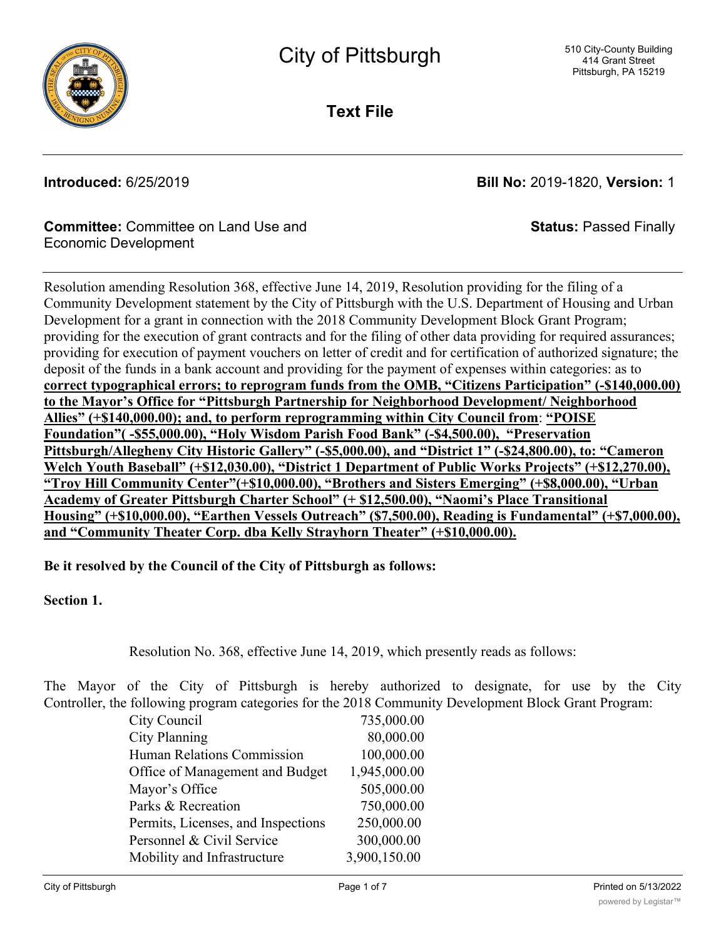

**Text File**

**Introduced:** 6/25/2019 **Bill No:** 2019-1820, **Version:** 1

**Status:** Passed Finally

## **Committee:** Committee on Land Use and Economic Development

Resolution amending Resolution 368, effective June 14, 2019, Resolution providing for the filing of a Community Development statement by the City of Pittsburgh with the U.S. Department of Housing and Urban Development for a grant in connection with the 2018 Community Development Block Grant Program; providing for the execution of grant contracts and for the filing of other data providing for required assurances; providing for execution of payment vouchers on letter of credit and for certification of authorized signature; the deposit of the funds in a bank account and providing for the payment of expenses within categories: as to **correct typographical errors; to reprogram funds from the OMB, "Citizens Participation" (-\$140,000.00) to the Mayor's Office for "Pittsburgh Partnership for Neighborhood Development/ Neighborhood Allies" (+\$140,000.00); and, to perform reprogramming within City Council from**: **"POISE Foundation"( -\$55,000.00), "Holy Wisdom Parish Food Bank" (-\$4,500.00), "Preservation Pittsburgh/Allegheny City Historic Gallery" (-\$5,000.00), and "District 1" (-\$24,800.00), to: "Cameron Welch Youth Baseball" (+\$12,030.00), "District 1 Department of Public Works Projects" (+\$12,270.00), "Troy Hill Community Center"(+\$10,000.00), "Brothers and Sisters Emerging" (+\$8,000.00), "Urban Academy of Greater Pittsburgh Charter School" (+ \$12,500.00), "Naomi's Place Transitional Housing" (+\$10,000.00), "Earthen Vessels Outreach" (\$7,500.00), Reading is Fundamental" (+\$7,000.00), and "Community Theater Corp. dba Kelly Strayhorn Theater" (+\$10,000.00).**

## **Be it resolved by the Council of the City of Pittsburgh as follows:**

## **Section 1.**

Resolution No. 368, effective June 14, 2019, which presently reads as follows:

The Mayor of the City of Pittsburgh is hereby authorized to designate, for use by the City Controller, the following program categories for the 2018 Community Development Block Grant Program:

| City Council                       | 735,000.00   |
|------------------------------------|--------------|
| <b>City Planning</b>               | 80,000.00    |
| Human Relations Commission         | 100,000.00   |
| Office of Management and Budget    | 1,945,000.00 |
| Mayor's Office                     | 505,000.00   |
| Parks & Recreation                 | 750,000.00   |
| Permits, Licenses, and Inspections | 250,000.00   |
| Personnel & Civil Service          | 300,000.00   |
| Mobility and Infrastructure        | 3,900,150.00 |
|                                    |              |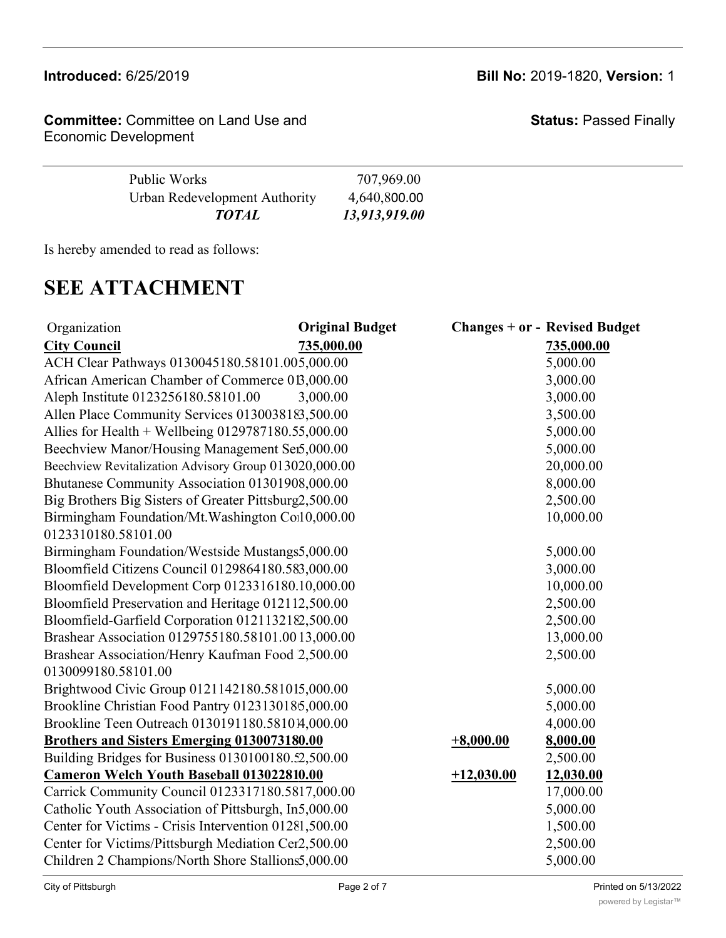## **Introduced:** 6/25/2019 **Bill No:** 2019-1820, **Version:** 1

**Committee:** Committee on Land Use and Economic Development

**Status:** Passed Finally

| Public Works                  | 707,969.00    |  |
|-------------------------------|---------------|--|
| Urban Redevelopment Authority | 4,640,800.00  |  |
| <b>TOTAL</b>                  | 13,913,919.00 |  |

Is hereby amended to read as follows:

# **SEE ATTACHMENT**

| Organization                                          | <b>Original Budget</b> |              | <b>Changes + or - Revised Budget</b> |
|-------------------------------------------------------|------------------------|--------------|--------------------------------------|
| <b>City Council</b>                                   | 735,000.00             |              | 735,000.00                           |
| ACH Clear Pathways 0130045180.58101.005,000.00        |                        |              | 5,000.00                             |
| African American Chamber of Commerce 013,000.00       |                        |              | 3,000.00                             |
| Aleph Institute 0123256180.58101.00                   | 3,000.00               |              | 3,000.00                             |
| Allen Place Community Services 0130038183,500.00      |                        |              | 3,500.00                             |
| Allies for Health + Wellbeing $0129787180.55,000.00$  |                        |              | 5,000.00                             |
| Beechview Manor/Housing Management Sei5,000.00        |                        |              | 5,000.00                             |
| Beechview Revitalization Advisory Group 013020,000.00 |                        |              | 20,000.00                            |
| Bhutanese Community Association 01301908,000.00       |                        |              | 8,000.00                             |
| Big Brothers Big Sisters of Greater Pittsburg2,500.00 |                        |              | 2,500.00                             |
| Birmingham Foundation/Mt. Washington Coil 0,000.00    |                        |              | 10,000.00                            |
| 0123310180.58101.00                                   |                        |              |                                      |
| Birmingham Foundation/Westside Mustangs5,000.00       |                        |              | 5,000.00                             |
| Bloomfield Citizens Council 0129864180.583,000.00     |                        |              | 3,000.00                             |
| Bloomfield Development Corp 0123316180.10,000.00      |                        |              | 10,000.00                            |
| Bloomfield Preservation and Heritage 012112,500.00    |                        |              | 2,500.00                             |
| Bloomfield-Garfield Corporation 0121132182,500.00     |                        |              | 2,500.00                             |
| Brashear Association 0129755180.58101.0013,000.00     |                        |              | 13,000.00                            |
| Brashear Association/Henry Kaufman Food 2,500.00      |                        |              | 2,500.00                             |
| 0130099180.58101.00                                   |                        |              |                                      |
| Brightwood Civic Group 0121142180.581015,000.00       |                        |              | 5,000.00                             |
| Brookline Christian Food Pantry 0123130185,000.00     |                        |              | 5,000.00                             |
| Brookline Teen Outreach 0130191180.581014,000.00      |                        |              | 4,000.00                             |
| <b>Brothers and Sisters Emerging 0130073180.00</b>    |                        | $+8,000.00$  | 8,000.00                             |
| Building Bridges for Business 0130100180.52,500.00    |                        |              | 2,500.00                             |
| <b>Cameron Welch Youth Baseball 013022810.00</b>      |                        | $+12,030.00$ | 12,030.00                            |
| Carrick Community Council 0123317180.5817,000.00      |                        |              | 17,000.00                            |
| Catholic Youth Association of Pittsburgh, In5,000.00  |                        |              | 5,000.00                             |
| Center for Victims - Crisis Intervention 01281,500.00 |                        |              | 1,500.00                             |
| Center for Victims/Pittsburgh Mediation Cer2,500.00   |                        |              | 2,500.00                             |
| Children 2 Champions/North Shore Stallions5,000.00    |                        |              | 5,000.00                             |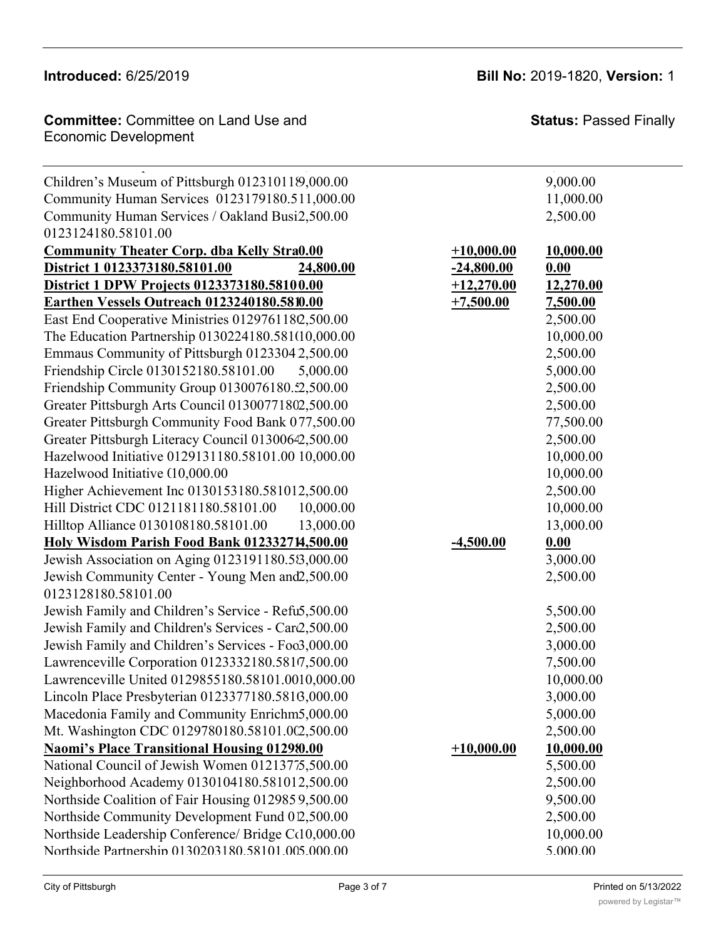**Committee:** Committee on Land Use and **Committee: Status:** Pa **Committee:** Committee on Early See and<br>Economic Development Center for Victims/Pittsburgh Mediation Center 0129972180.58101.00 2,500.000 2,500.00 2,500.00 2,500.00 2,500.00

**Status:** Passed Finally

| Children's Museum of Pittsburgh 012310119,000.00    |              | 9,000.00         |
|-----------------------------------------------------|--------------|------------------|
| Community Human Services 0123179180.511,000.00      |              | 11,000.00        |
| Community Human Services / Oakland Busi2,500.00     |              | 2,500.00         |
| 0123124180.58101.00                                 |              |                  |
| <b>Community Theater Corp. dba Kelly Stra0.00</b>   | $+10,000.00$ | <u>10,000.00</u> |
| District 1 0123373180.58101.00<br>24,800.00         | $-24,800.00$ | 0.00             |
| District 1 DPW Projects 0123373180.58100.00         | $+12,270.00$ | 12,270.00        |
| Earthen Vessels Outreach 0123240180.5810.00         | $+7,500.00$  | 7,500.00         |
| East End Cooperative Ministries 0129761182,500.00   |              | 2,500.00         |
| The Education Partnership 0130224180.581(10,000.00  |              | 10,000.00        |
| Emmaus Community of Pittsburgh 01233042,500.00      |              | 2,500.00         |
| Friendship Circle 0130152180.58101.00<br>5,000.00   |              | 5,000.00         |
| Friendship Community Group 0130076180.52,500.00     |              | 2,500.00         |
| Greater Pittsburgh Arts Council 01300771802,500.00  |              | 2,500.00         |
| Greater Pittsburgh Community Food Bank 077,500.00   |              | 77,500.00        |
| Greater Pittsburgh Literacy Council 01300642,500.00 |              | 2,500.00         |
| Hazelwood Initiative 0129131180.58101.00 10,000.00  |              | 10,000.00        |
| Hazelwood Initiative (10,000.00                     |              | 10,000.00        |
| Higher Achievement Inc 0130153180.581012,500.00     |              | 2,500.00         |
| Hill District CDC 0121181180.58101.00<br>10,000.00  |              | 10,000.00        |
| Hilltop Alliance 0130108180.58101.00<br>13,000.00   |              | 13,000.00        |
| Holy Wisdom Parish Food Bank 012332714,500.00       | $-4,500.00$  | 0.00             |
| Jewish Association on Aging 0123191180.58,000.00    |              | 3,000.00         |
| Jewish Community Center - Young Men and 2,500.00    |              | 2,500.00         |
| 0123128180.58101.00                                 |              |                  |
| Jewish Family and Children's Service - Refu5,500.00 |              | 5,500.00         |
| Jewish Family and Children's Services - Car2,500.00 |              | 2,500.00         |
| Jewish Family and Children's Services - Foo3,000.00 |              | 3,000.00         |
| Lawrenceville Corporation 0123332180.5817,500.00    |              | 7,500.00         |
| Lawrenceville United 0129855180.58101.0010,000.00   |              | 10,000.00        |
| Lincoln Place Presbyterian 0123377180.5816,000.00   |              | 3,000.00         |
| Macedonia Family and Community Enrichm5,000.00      |              | 5,000.00         |
| Mt. Washington CDC 0129780180.58101.002,500.00      |              | 2,500.00         |
| <b>Naomi's Place Transitional Housing 012980.00</b> | $+10,000.00$ | 10,000.00        |
| National Council of Jewish Women 01213775,500.00    |              | 5,500.00         |
| Neighborhood Academy 0130104180.581012,500.00       |              | 2,500.00         |
| Northside Coalition of Fair Housing 0129859,500.00  |              | 9,500.00         |
| Northside Community Development Fund 012,500.00     |              | 2,500.00         |
| Northside Leadership Conference/ Bridge Cc10,000.00 |              | 10,000.00        |
| Northside Partnershin 0130203180.58101.005.000.00   |              | 5.000.00         |

**Brothers and Sisters Emerging 0130073180.58101.00 0.00 +8,000.00 8,000.00**

Oakland Planning and Development Corp. 0121379180.58101.00 5,000.00 5,000.00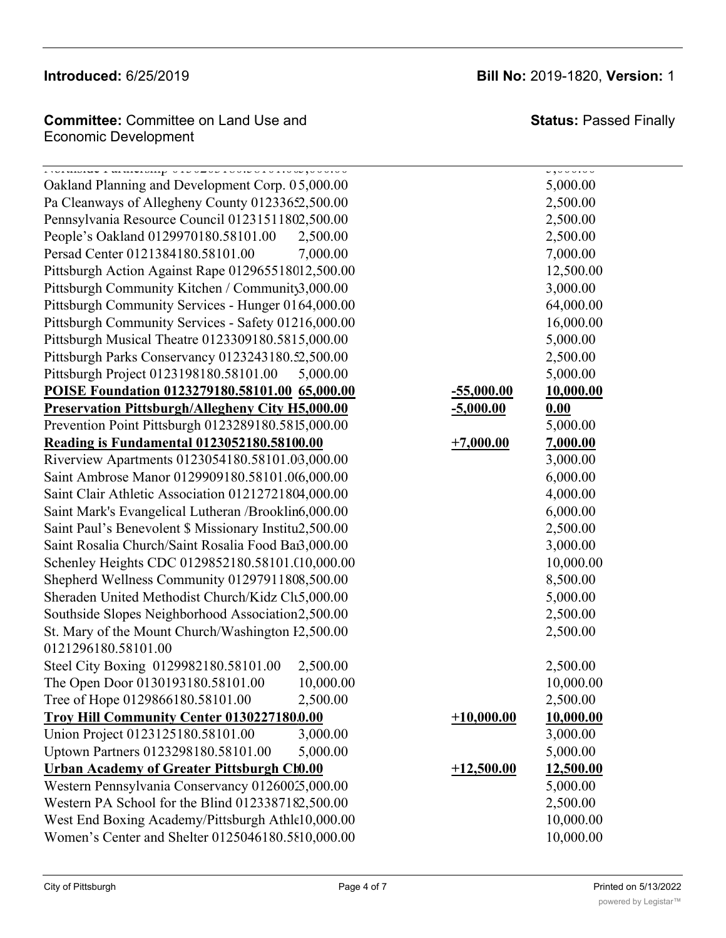## **Naomi's Place Transitional Housing 0129896180.58101.00 0.00 +10,000.00 10,000.00** National Council of Jewish Women 0121377180.58101.00 5,500.00 5,500.00

**Introduced:** 6/25/2019 **Bill No:** 2019-1820, **Version:** 1

**Status:** Passed Finally

**Committee:** Committee on Land Use and **Northside Committee: Status:** Pa  $\blacksquare$ Northside Leadership Conference/ Bridge Committee 0130218180.58101.00 10,000.00 10,000.00

Northside Partnership 0130203180.58101.005,000.00 5,000.00

 $M_{\rm H}$  , was highly discrete  $M_{\rm H}$  , we can consider  $\sim$  0.031801801801801801801801.002,500.000 2,500.000 2,500.000 2,500.000 2,500.000 2,500.000 2,500.000 2,500.000 2,500.000 2,500.000 2,500.000 2,500.000 2,500.000

Oakland Planning and Development Corp. 05,000.00 Pa Cleanways of Allegheny County 01233652,500.00 Pennsylvania Resource Council 01231511802,500.00 People's Oakland 0129970180.58101.00 2,500.00 2,500.00 Persad Center 0121384180.58101.00 7,000.00 7,000.00 Pittsburgh Action Against Rape 012965518012,500.00 Pittsburgh Community Kitchen / Community 3,000.00 Pittsburgh Community Services - Hunger 0164,000.00 Pittsburgh Community Services - Safety 01216,000.00 Pittsburgh Musical Theatre 0123309180.5815,000.00 Pittsburgh Parks Conservancy 0123243180.52,500.00 Pittsburgh Project 0123198180.58101.00 5,000.00 5,000.00 **POISE Foundation 0123279180.58101.00 65,000.00 -55,000.00 10,000.00 Preservation Pittsburgh/Allegheny City H5,000.00** Prevention Point Pittsburgh 0123289180.5815,000.00 **Reading is Fundamental 0123052180.58100.00 +7** Riverview Apartments 0123054180.58101.03,000.00 Saint Ambrose Manor 0129909180.58101.0(6,000.00 Saint Clair Athletic Association 01212721804,000.00 Saint Mark's Evangelical Lutheran /Brooklin6,000.00 Saint Paul's Benevolent \$ Missionary Institu2,500.00 Saint Rosalia Church/Saint Rosalia Food Bai3,000.00 Schenley Heights CDC 0129852180.58101.0000.00 Shepherd Wellness Community 01297911808,500.00 Sheraden United Methodist Church/Kidz Cl $t$ 5,000.00 Southside Slopes Neighborhood Association 2,500.00 St. Mary of the Mount Church/Washington F2,500.00 2,500.00 0121296180.58101.00 Steel City Boxing 0129982180.58101.00 2,500.00 2,500.00 The Open Door 0130193180.58101.00 10,000.00 Tree of Hope 0129866180.58101.00 2,500.00 2,500.00 **Troy Hill Community Center 0130227180.0.00**  $+1$ Union Project 0123125180.58101.00 3,000.00 Uptown Partners 0123298180.58101.00 5,000.00 5,000.00 Urban Academy of Greater Pittsburgh Ch0.00  $+1$ Western Pennsylvania Conservancy 01260025,000.00 Western PA School for the Blind  $0123387182.500.00$ West End Boxing Academy/Pittsburgh Athlet<sup>10</sup>,000.00 Women's Center and Shelter 0125046180.5810,000.00 10,000.00

|                | 5,000.00              |
|----------------|-----------------------|
|                | 2,500.00              |
|                | 2,500.00              |
|                | 2,500.00              |
|                | 7,000.00              |
|                |                       |
|                | 12,500.00<br>3,000.00 |
|                | 64,000.00             |
|                |                       |
|                | 16,000.00<br>5,000.00 |
|                |                       |
|                | 2,500.00              |
|                | 5,000.00              |
| 5,000.00       | 10,000.00             |
| <u>,000.00</u> | 0.00                  |
|                | 5,000.00              |
| 7,000.00       | 7,000.00              |
|                | 3,000.00              |
|                | 6,000.00              |
|                | 4,000.00              |
|                | 6,000.00              |
|                | 2,500.00              |
|                | 3,000.00              |
|                | 10,000.00             |
|                | 8,500.00              |
|                | 5,000.00              |
|                | 2,500.00              |
|                | 2,500.00              |
|                | 2,500.00              |
|                | 10,000.00             |
|                | 2,500.00              |
| 10,000.00      | 10,000.00             |
|                | 3,000.00              |
|                | 5,000.00              |
| 12,500.00      | 12,500.00             |
|                | 5,000.00              |
|                | 2,500.00              |
|                | 10,000.00             |
|                | 0.000.00              |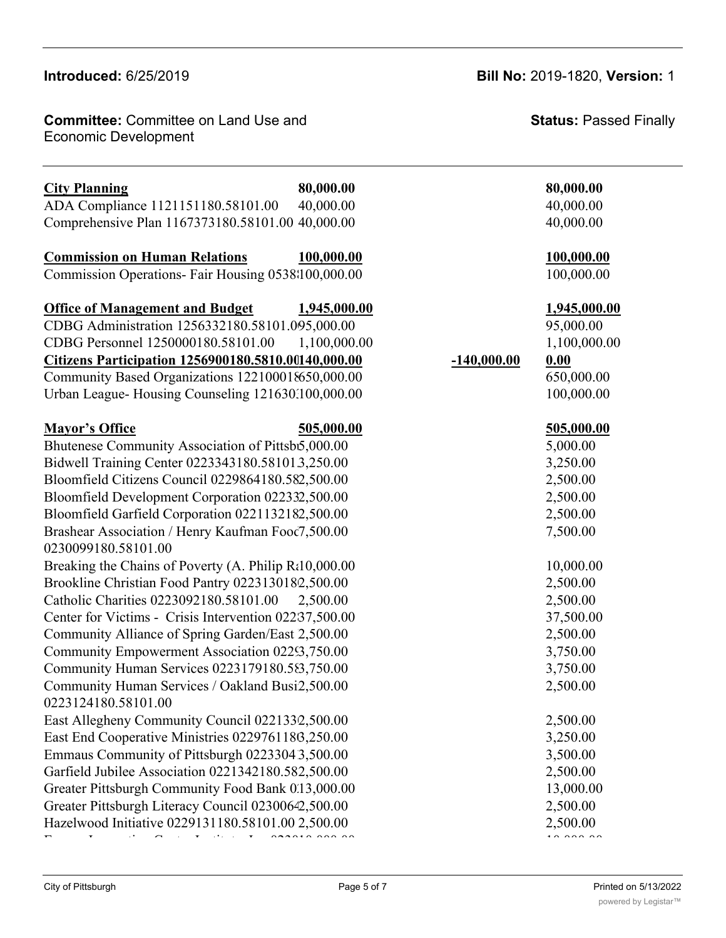### **Introduced: 6/25/2019 URBAN ACCORD CONSTRUCTS**

**Committee:** Committee on Land Use and **Committee: Status:** Pa Economic Development Athletic League 0130194180.58101.58101.58101.58101.5810194180.58101.58101.58101.58101.5810

Union Project 0123125180.58101.00 3,000.00 3,000.00

| <b>City Planning</b>                                  | 80,000.00     | 80,000.00 |
|-------------------------------------------------------|---------------|-----------|
| ADA Compliance 1121151180.58101.00                    | 40,000.00     | 40,000.00 |
| Comprehensive Plan 1167373180.58101.00 40,000.00      |               | 40,000.00 |
| <b>Commission on Human Relations</b>                  | 100,000.00    | 100,000.0 |
| Commission Operations- Fair Housing 0538\100,000.00   |               | 100,000.0 |
| <b>Office of Management and Budget</b>                | 1,945,000.00  | 1,945,000 |
| CDBG Administration 1256332180.58101.095,000.00       |               | 95,000.00 |
| CDBG Personnel 1250000180.58101.00                    | 1,100,000.00  | 1,100,000 |
| Citizens Participation 1256900180.5810.00140,000.00   | $-140,000.00$ | 0.00      |
| Community Based Organizations 122100018650,000.00     |               | 650,000.0 |
| Urban League-Housing Counseling 121630.100,000.00     |               | 100,000.0 |
| <b>Mayor's Office</b>                                 | 505,000.00    | 505,000.0 |
| Bhutenese Community Association of Pittsb5,000.00     |               | 5,000.00  |
| Bidwell Training Center 0223343180.581013,250.00      |               | 3,250.00  |
| Bloomfield Citizens Council 0229864180.582,500.00     |               | 2,500.00  |
| Bloomfield Development Corporation 022332,500.00      |               | 2,500.00  |
| Bloomfield Garfield Corporation 0221132182,500.00     |               | 2,500.00  |
| Brashear Association / Henry Kaufman Food7,500.00     |               | 7,500.00  |
| 0230099180.58101.00                                   |               |           |
| Breaking the Chains of Poverty (A. Philip Rt10,000.00 |               | 10,000.00 |
| Brookline Christian Food Pantry 0223130182,500.00     |               | 2,500.00  |
| Catholic Charities 0223092180.58101.00                | 2,500.00      | 2,500.00  |
| Center for Victims - Crisis Intervention 02237,500.00 |               | 37,500.00 |
| Community Alliance of Spring Garden/East 2,500.00     |               | 2,500.00  |
| Community Empowerment Association 02253,750.00        |               | 3,750.00  |
| Community Human Services 0223179180.583,750.00        |               | 3,750.00  |
| Community Human Services / Oakland Busi2,500.00       |               | 2,500.00  |
| 0223124180.58101.00                                   |               |           |
| East Allegheny Community Council 0221332,500.00       |               | 2,500.00  |
| East End Cooperative Ministries 0229761186,250.00     |               | 3,250.00  |
| Emmaus Community of Pittsburgh 02233043,500.00        |               | 3,500.00  |
| Garfield Jubilee Association 0221342180.582,500.00    |               | 2,500.00  |
| Greater Pittsburgh Community Food Bank 0.13,000.00    |               | 13,000.00 |
| Greater Pittsburgh Literacy Council 02300642,500.00   |               | 2,500.00  |
| Hazelwood Initiative 0229131180.58101.00 2,500.00     |               | 2,500.00  |

## **Introduced:** 6/25/2019 **Bill No:** 2019-1820, **Version:** 1

**Status:** Passed Finally

## **City Planning 80,000.00 80,000.00**

40,000.00

### **Commission on Human Relations 100,000.00 100,000.00**

100,000.00

## **Office of Management and Budget 1,945,000.00 1,945,000.00**

95,000.00  $1,100,000.00$ <br>0.00

## **Citizens Participation 1256900180.5810.00140,000.00 -140,000.00 0.00**

650,000.00  $100,000.00$ 

# **505,000.00**<br>5.000.00

| Diffuction Community Association of Fitts bio.000.00      | <b>J,UUU.UU</b>                                                                                                                                                                                                                                                                                                                                                                      |
|-----------------------------------------------------------|--------------------------------------------------------------------------------------------------------------------------------------------------------------------------------------------------------------------------------------------------------------------------------------------------------------------------------------------------------------------------------------|
| Bidwell Training Center 0223343180.581013,250.00          | 3,250.00                                                                                                                                                                                                                                                                                                                                                                             |
| Bloomfield Citizens Council 0229864180.582,500.00         | 2,500.00                                                                                                                                                                                                                                                                                                                                                                             |
| Bloomfield Development Corporation 022332,500.00          | 2,500.00                                                                                                                                                                                                                                                                                                                                                                             |
| Bloomfield Garfield Corporation 0221132182,500.00         | 2,500.00                                                                                                                                                                                                                                                                                                                                                                             |
| Brashear Association / Henry Kaufman Food7,500.00         | 7,500.00                                                                                                                                                                                                                                                                                                                                                                             |
| 0230099180.58101.00                                       |                                                                                                                                                                                                                                                                                                                                                                                      |
| Breaking the Chains of Poverty $(A.$ Philip $Ri10,000.00$ | 10,000.00                                                                                                                                                                                                                                                                                                                                                                            |
| Brookline Christian Food Pantry 0223130182,500.00         | 2,500.00                                                                                                                                                                                                                                                                                                                                                                             |
| Catholic Charities 0223092180.58101.00<br>2,500.00        | 2,500.00                                                                                                                                                                                                                                                                                                                                                                             |
| Center for Victims - Crisis Intervention 02237,500.00     | 37,500.00                                                                                                                                                                                                                                                                                                                                                                            |
| Community Alliance of Spring Garden/East 2,500.00         | 2,500.00                                                                                                                                                                                                                                                                                                                                                                             |
| Community Empowerment Association 02253,750.00            | 3,750.00                                                                                                                                                                                                                                                                                                                                                                             |
| Community Human Services 0223179180.583,750.00            | 3,750.00                                                                                                                                                                                                                                                                                                                                                                             |
| Community Human Services / Oakland Busi2,500.00           | 2,500.00                                                                                                                                                                                                                                                                                                                                                                             |
| 0223124180.58101.00                                       |                                                                                                                                                                                                                                                                                                                                                                                      |
| East Allegheny Community Council 0221332,500.00           | 2,500.00                                                                                                                                                                                                                                                                                                                                                                             |
| East End Cooperative Ministries 0229761186,250.00         | 3,250.00                                                                                                                                                                                                                                                                                                                                                                             |
| Emmaus Community of Pittsburgh 02233043,500.00            | 3,500.00                                                                                                                                                                                                                                                                                                                                                                             |
| Garfield Jubilee Association 0221342180.582,500.00        | 2,500.00                                                                                                                                                                                                                                                                                                                                                                             |
| Greater Pittsburgh Community Food Bank 0.13,000.00        | 13,000.00                                                                                                                                                                                                                                                                                                                                                                            |
| Greater Pittsburgh Literacy Council 02300642,500.00       | 2,500.00                                                                                                                                                                                                                                                                                                                                                                             |
| Hazelwood Initiative 0229131180.58101.00 2,500.00         | 2,500.00                                                                                                                                                                                                                                                                                                                                                                             |
| 0.22010000000                                             | $\overline{1}$ $\overline{0}$ $\overline{0}$ $\overline{0}$ $\overline{0}$ $\overline{0}$ $\overline{0}$ $\overline{0}$ $\overline{0}$ $\overline{0}$ $\overline{0}$ $\overline{0}$ $\overline{0}$ $\overline{0}$ $\overline{0}$ $\overline{0}$ $\overline{0}$ $\overline{0}$ $\overline{0}$ $\overline{0}$ $\overline{0}$ $\overline{0}$ $\overline{0}$ $\overline{0}$ $\overline{$ |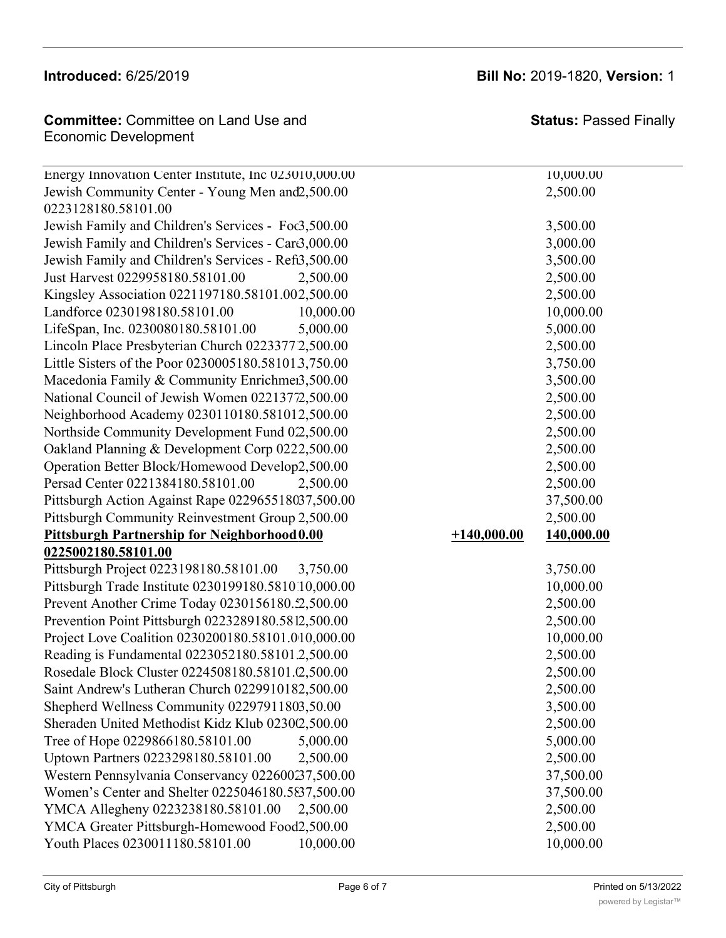## **Introduced: 6/25/2019.**

## **Committee:** Committee on Land Use and **Committee: Status:** Pas  $\epsilon$  Economic Development

East Allegheny Community Council 0221330180.58101.00 2,500.00 2,500.00

Energy Innovation Center Institute, Inc 023010,000.00 Jewish Community Center - Young Men and 2,500.00 2,500.00 0223128180.58101.00 Jewish Family and Children's Services - Foc3,500.00 3,500.00 3,500.00 Jewish Family and Children's Services - Car $\beta$ ,000.00 3,000.00 3,000.00 Jewish Family and Children's Services - Refi3,500.00 3,500.00 3,500.00 Just Harvest 0229958180.58101.00 2,500.00 2,500.00 Kingsley Association 0221197180.58101.002,500.00 Landforce 0230198180.58101.00 10,000.00 LifeSpan, Inc. 0230080180.58101.00 5,000.00 Lincoln Place Presbyterian Church 02233772,500.00 Little Sisters of the Poor 0230005180.581013,750.00 Macedonia Family & Community Enrichmei3,500.00 National Council of Jewish Women 02213772,500.00 Neighborhood Academy 0230110180.581012,500.00 Northside Community Development Fund 022,500.00 Oakland Planning & Development Corp 0222,500.00 Operation Better Block/Homewood Develop2,500.00 Persad Center 0221384180.58101.00 2,500.00 2,500.00 Pittsburgh Action Against Rape 022965518037,500.00 Pittsburgh Community Reinvestment Group 2,500.00 **Pittsburgh Partnership for Neighborhood 0.00** +1 **0225002180.58101.00** Pittsburgh Project 0223198180.58101.00 3,750.00 3,750.00 Pittsburgh Trade Institute 0230199180.581010,000.00 Prevent Another Crime Today 0230156180.52,500.00 Prevention Point Pittsburgh 0223289180.5812,500.00 2,500.00 2,500.00 Project Love Coalition 0230200180.58101.010,000.00 10,000.00 10,000.00 Reading is Fundamental 0223052180.58101.2,500.00 2,500.00 Rosedale Block Cluster 0224508180.58101. (2.500.00 2,500.00 2,500.00 Saint Andrew's Lutheran Church 0229910182,500.00 2,500.00 2,500.00 Shepherd Wellness Community 02297911803,50.00 3,500.00 Sheraden United Methodist Kidz Klub 0230(2,500.00 2,500.00 2,500.00 Tree of Hope 0229866180.58101.00 5,000.00 5,000.00 5,000.00 5,000.00 Uptown Partners 0223298180.58101.00 2,500.00 2,500.00 2,500.00 Western Pennsylvania Conservancy 022600237,500.00 37,500.00 Women's Center and Shelter 0225046180.5837,500.00 37,500.00 YMCA Allegheny 0223238180.58101.00 2,500.00 2,500.00 YMCA Greater Pittsburgh-Homewood Food 2,500.00 2,500.00 Youth Places 0230011180.58101.00 10,000.00 10.000.00 10,000.00

| <b>Status: Passed Finally</b> |
|-------------------------------|
| 10,000.00                     |
| $\sim$ $\sim$ $\sim$ $\sim$   |

|               | 2,500.00   |
|---------------|------------|
|               | 2,500.00   |
|               | 10,000.00  |
|               | 5,000.00   |
|               | 2,500.00   |
|               | 3,750.00   |
|               | 3,500.00   |
|               | 2,500.00   |
|               | 2,500.00   |
|               | 2,500.00   |
|               | 2,500.00   |
|               | 2,500.00   |
|               | 2,500.00   |
|               | 37,500.00  |
|               | 2,500.00   |
| $+140,000.00$ | 140,000.00 |
|               | 3,750.00   |
|               | 10,000.00  |
|               | 2,500.00   |
|               |            |

## **Introduced:** 6/25/2019 **Bill No:** 2019-1820, **Version:** 1